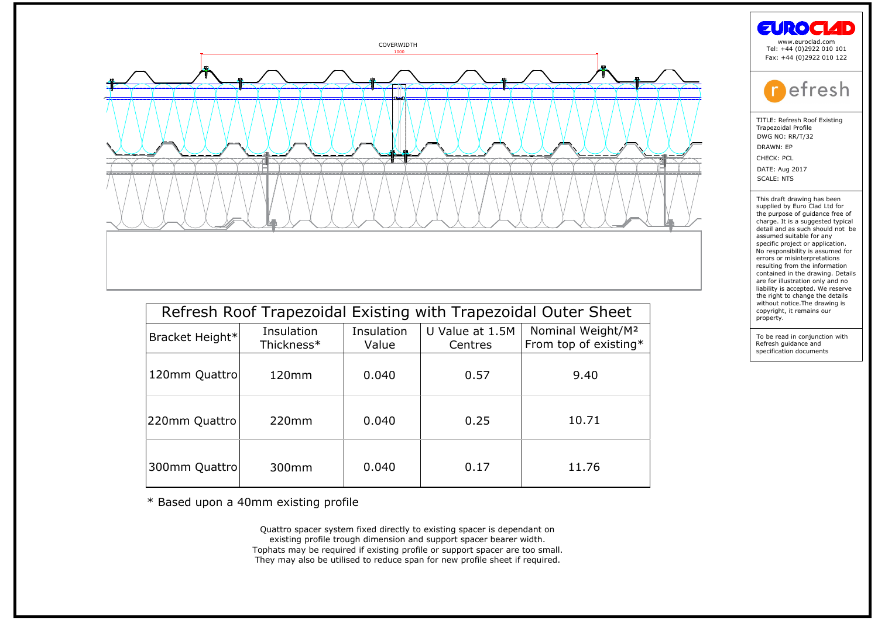

| Refresh Roof Trapezoidal Existing with Trapezoidal Outer Sheet          |            |            |                 |                               |  |  |
|-------------------------------------------------------------------------|------------|------------|-----------------|-------------------------------|--|--|
| Bracket Height*                                                         | Insulation | Insulation | U Value at 1.5M | Nominal Weight/M <sup>2</sup> |  |  |
|                                                                         | Thickness* | Value      | Centres         | From top of existing*         |  |  |
| 120mm Quattro                                                           | $120$ mm   | 0.040      | 0.57            | 9.40                          |  |  |
| 220mm Quattro                                                           | 220mm      | 0.040      | 0.25            | 10.71                         |  |  |
| 300mm Quattro                                                           | 300mm      | 0.040      | 0.17            | 11.76                         |  |  |
| * Based upon a 40mm existing profile                                    |            |            |                 |                               |  |  |
| Quattro spacer system fixed directly to existing spacer is dependant on |            |            |                 |                               |  |  |

\* Based upon a 40mm existing profile<br>Quattro spacer system fixed directly to existing spacer is dependant on<br>existing profile trough dimension and support spacer bearer width. Tophats may be required if existing profile or support spacer are too small.<br>They may also be utilised to reduce span for new profile sheet if required.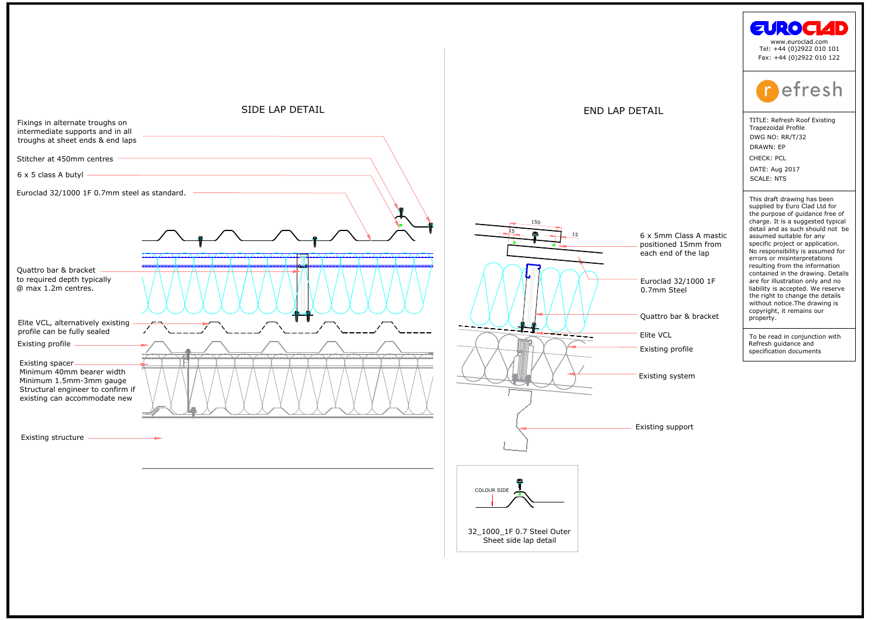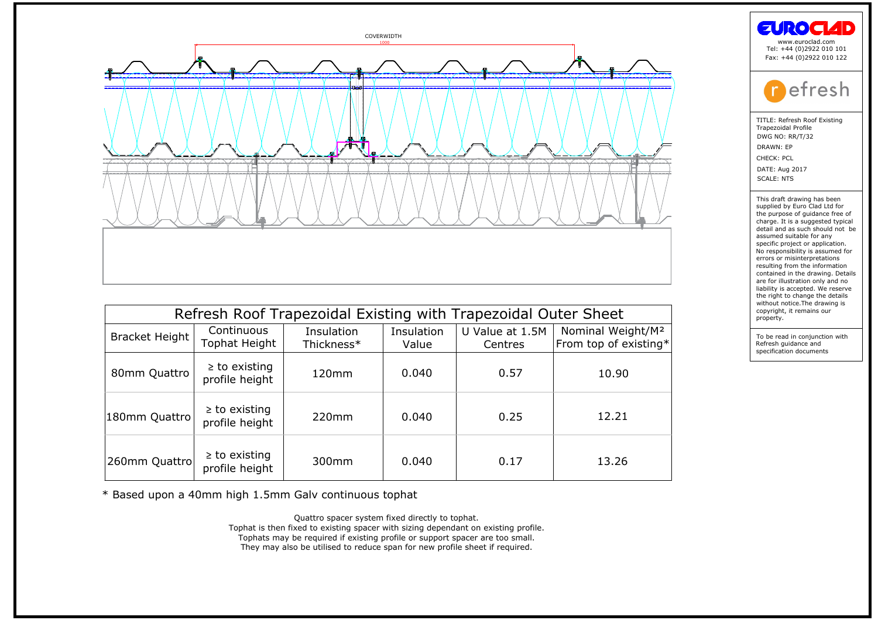

| Refresh Roof Trapezoidal Existing with Trapezoidal Outer Sheet |                                      |                          |                     |                            |                                                        |  |  |
|----------------------------------------------------------------|--------------------------------------|--------------------------|---------------------|----------------------------|--------------------------------------------------------|--|--|
| <b>Bracket Height</b>                                          | Continuous<br>Tophat Height          | Insulation<br>Thickness* | Insulation<br>Value | U Value at 1.5M<br>Centres | Nominal Weight/M <sup>2</sup><br>From top of existing* |  |  |
| 80mm Quattro                                                   | $\geq$ to existing<br>profile height | 120 <sub>mm</sub>        | 0.040               | 0.57                       | 10.90                                                  |  |  |
| 180mm Quattro                                                  | $\geq$ to existing<br>profile height | 220mm                    | 0.040               | 0.25                       | 12.21                                                  |  |  |
| 260mm Quattro                                                  | $\geq$ to existing<br>profile height | 300mm                    | 0.040               | 0.17                       | 13.26                                                  |  |  |

\* Based upon a 40mm high 1.5mm Galv continuous tophat<br>Quattro spacer system fixed directly to tophat.

Tophat is then fixed to existing spacer with sizing dependant on existing profile.

Tophats may be required if existing profile or support spacer are too small.<br>They may also be utilised to reduce span for new profile sheet if required.

| www.euroclad.com<br>Tel: +44 (0)2922 010 101<br>Fax: +44 (0)2922 010 122                                                                                                                                                                                                                                                                                                                                                                                                                                                                                                    |
|-----------------------------------------------------------------------------------------------------------------------------------------------------------------------------------------------------------------------------------------------------------------------------------------------------------------------------------------------------------------------------------------------------------------------------------------------------------------------------------------------------------------------------------------------------------------------------|
| <b>P</b> efresh                                                                                                                                                                                                                                                                                                                                                                                                                                                                                                                                                             |
| TITLE: Refresh Roof Existing<br><b>Trapezoidal Profile</b><br>DWG NO: RR/T/32<br>DRAWN: EP<br>CHECK: PCL<br>DATE: Aug 2017<br><b>SCALE: NTS</b>                                                                                                                                                                                                                                                                                                                                                                                                                             |
| This draft drawing has been<br>supplied by Euro Clad Ltd for<br>the purpose of quidance free of<br>charge. It is a suggested typical<br>detail and as such should not be<br>assumed suitable for any<br>specific project or application.<br>No responsibility is assumed for<br>errors or misinterpretations<br>resulting from the information<br>contained in the drawing. Details<br>are for illustration only and no<br>liability is accepted. We reserve<br>the right to change the details<br>without notice. The drawing is<br>copyright, it remains our<br>property. |
| To be read in conjunction with                                                                                                                                                                                                                                                                                                                                                                                                                                                                                                                                              |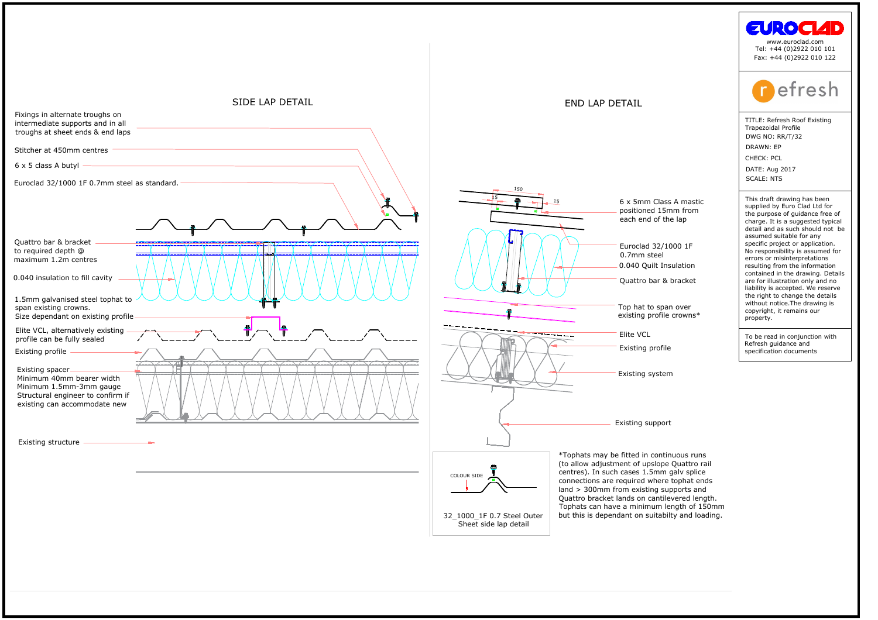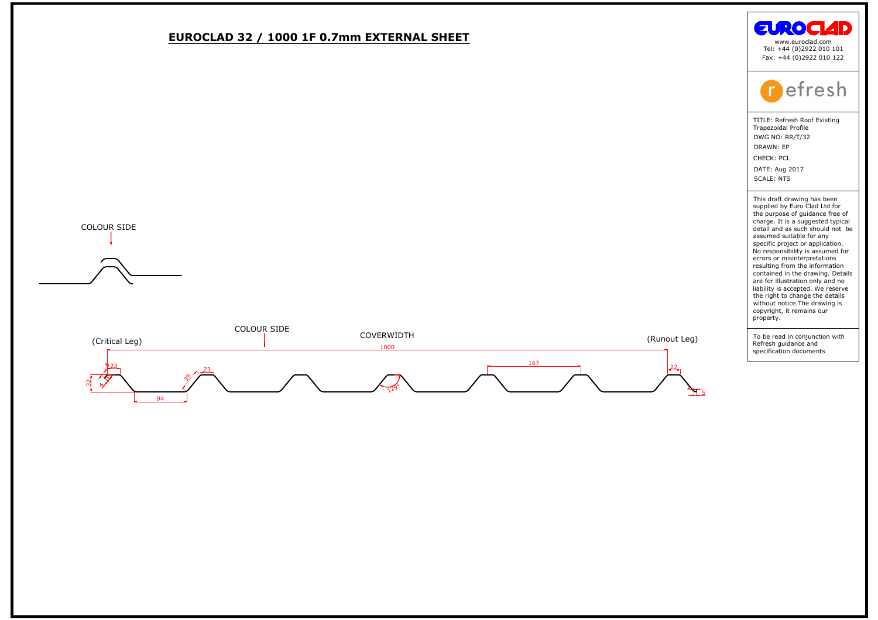